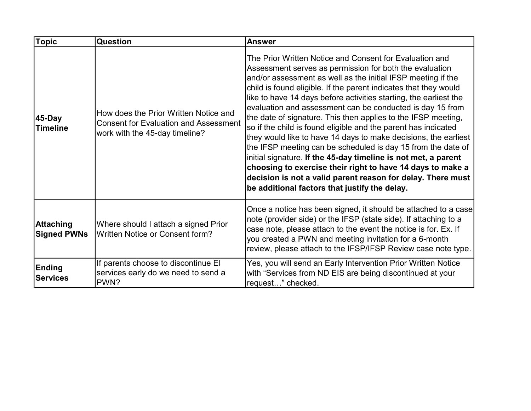| <b>Topic</b>                           | <b>Question</b>                                                                                                         | <b>Answer</b>                                                                                                                                                                                                                                                                                                                                                                                                                                                                                                                                                                                                                                                                                                                                                                                                                                                                                                  |
|----------------------------------------|-------------------------------------------------------------------------------------------------------------------------|----------------------------------------------------------------------------------------------------------------------------------------------------------------------------------------------------------------------------------------------------------------------------------------------------------------------------------------------------------------------------------------------------------------------------------------------------------------------------------------------------------------------------------------------------------------------------------------------------------------------------------------------------------------------------------------------------------------------------------------------------------------------------------------------------------------------------------------------------------------------------------------------------------------|
| 45-Day<br><b>Timeline</b>              | How does the Prior Written Notice and<br><b>Consent for Evaluation and Assessment</b><br>work with the 45-day timeline? | The Prior Written Notice and Consent for Evaluation and<br>Assessment serves as permission for both the evaluation<br>and/or assessment as well as the initial IFSP meeting if the<br>child is found eligible. If the parent indicates that they would<br>like to have 14 days before activities starting, the earliest the<br>evaluation and assessment can be conducted is day 15 from<br>the date of signature. This then applies to the IFSP meeting,<br>so if the child is found eligible and the parent has indicated<br>they would like to have 14 days to make decisions, the earliest<br>the IFSP meeting can be scheduled is day 15 from the date of<br>initial signature. If the 45-day timeline is not met, a parent<br>choosing to exercise their right to have 14 days to make a<br>decision is not a valid parent reason for delay. There must<br>be additional factors that justify the delay. |
| <b>Attaching</b><br><b>Signed PWNs</b> | Where should I attach a signed Prior<br>Written Notice or Consent form?                                                 | Once a notice has been signed, it should be attached to a case<br>note (provider side) or the IFSP (state side). If attaching to a<br>case note, please attach to the event the notice is for. Ex. If<br>you created a PWN and meeting invitation for a 6-month<br>review, please attach to the IFSP/IFSP Review case note type.                                                                                                                                                                                                                                                                                                                                                                                                                                                                                                                                                                               |
| Ending<br><b>Services</b>              | If parents choose to discontinue EI<br>services early do we need to send a<br>PWN?                                      | Yes, you will send an Early Intervention Prior Written Notice<br>with "Services from ND EIS are being discontinued at your<br>request" checked.                                                                                                                                                                                                                                                                                                                                                                                                                                                                                                                                                                                                                                                                                                                                                                |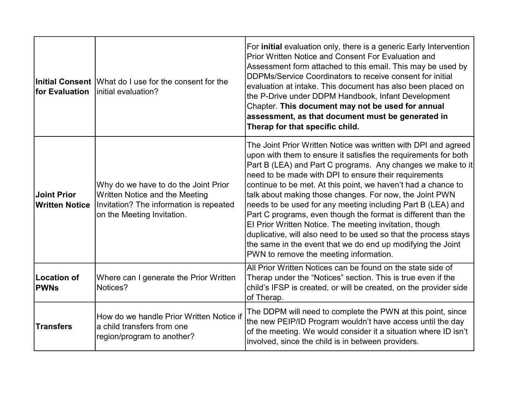| for Evaluation                              | Initial Consent What do I use for the consent for the<br>linitial evaluation?                                                                   | For <b>initial</b> evaluation only, there is a generic Early Intervention<br>Prior Written Notice and Consent For Evaluation and<br>Assessment form attached to this email. This may be used by<br>DDPMs/Service Coordinators to receive consent for initial<br>evaluation at intake. This document has also been placed on<br>the P-Drive under DDPM Handbook, Infant Development<br>Chapter. This document may not be used for annual<br>assessment, as that document must be generated in<br>Therap for that specific child.                                                                                                                                                                                                                               |
|---------------------------------------------|-------------------------------------------------------------------------------------------------------------------------------------------------|---------------------------------------------------------------------------------------------------------------------------------------------------------------------------------------------------------------------------------------------------------------------------------------------------------------------------------------------------------------------------------------------------------------------------------------------------------------------------------------------------------------------------------------------------------------------------------------------------------------------------------------------------------------------------------------------------------------------------------------------------------------|
| <b>Joint Prior</b><br><b>Written Notice</b> | Why do we have to do the Joint Prior<br>Written Notice and the Meeting<br>Invitation? The information is repeated<br>on the Meeting Invitation. | The Joint Prior Written Notice was written with DPI and agreed<br>upon with them to ensure it satisfies the requirements for both<br>Part B (LEA) and Part C programs. Any changes we make to it<br>need to be made with DPI to ensure their requirements<br>continue to be met. At this point, we haven't had a chance to<br>talk about making those changes. For now, the Joint PWN<br>needs to be used for any meeting including Part B (LEA) and<br>Part C programs, even though the format is different than the<br>El Prior Written Notice. The meeting invitation, though<br>duplicative, will also need to be used so that the process stays<br>the same in the event that we do end up modifying the Joint<br>PWN to remove the meeting information. |
| <b>Location of</b><br><b>PWNs</b>           | Where can I generate the Prior Written<br>Notices?                                                                                              | All Prior Written Notices can be found on the state side of<br>Therap under the "Notices" section. This is true even if the<br>child's IFSP is created, or will be created, on the provider side<br>of Therap.                                                                                                                                                                                                                                                                                                                                                                                                                                                                                                                                                |
| <b>Transfers</b>                            | How do we handle Prior Written Notice if<br>a child transfers from one<br>region/program to another?                                            | The DDPM will need to complete the PWN at this point, since<br>the new PEIP/ID Program wouldn't have access until the day<br>of the meeting. We would consider it a situation where ID isn't<br>involved, since the child is in between providers.                                                                                                                                                                                                                                                                                                                                                                                                                                                                                                            |